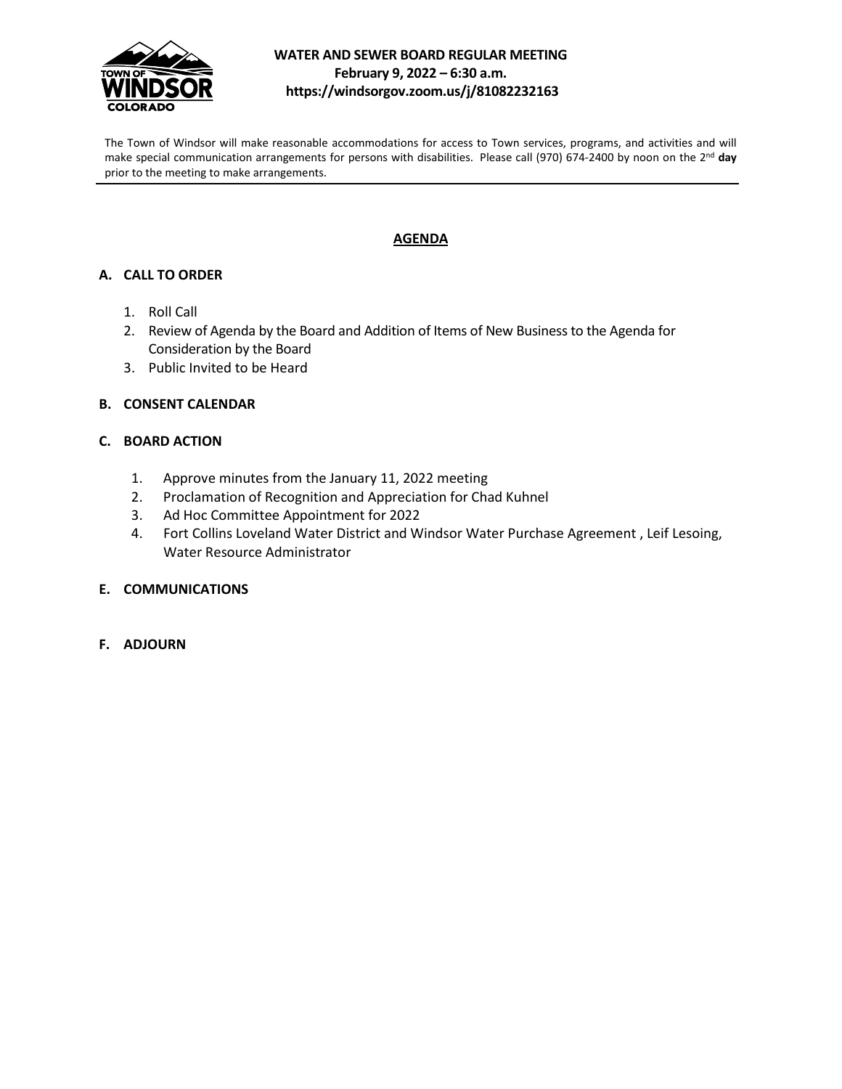

#### **WATER AND SEWER BOARD REGULAR MEETING February 9, 2022 – 6:30 a.m. https://windsorgov.zoom.us/j/81082232163**

The Town of Windsor will make reasonable accommodations for access to Town services, programs, and activities and will make special communication arrangements for persons with disabilities. Please call (970) 674-2400 by noon on the 2nd **day** prior to the meeting to make arrangements.

### **AGENDA**

#### **A. CALL TO ORDER**

- 1. Roll Call
- 2. Review of Agenda by the Board and Addition of Items of New Business to the Agenda for Consideration by the Board
- 3. Public Invited to be Heard
- **B. CONSENT CALENDAR**

#### **C. BOARD ACTION**

- 1. Approve minutes from the January 11, 2022 meeting
- 2. Proclamation of Recognition and Appreciation for Chad Kuhnel
- 3. Ad Hoc Committee Appointment for 2022
- 4. Fort Collins Loveland Water District and Windsor Water Purchase Agreement , Leif Lesoing, Water Resource Administrator
- **E. COMMUNICATIONS**
- **F. ADJOURN**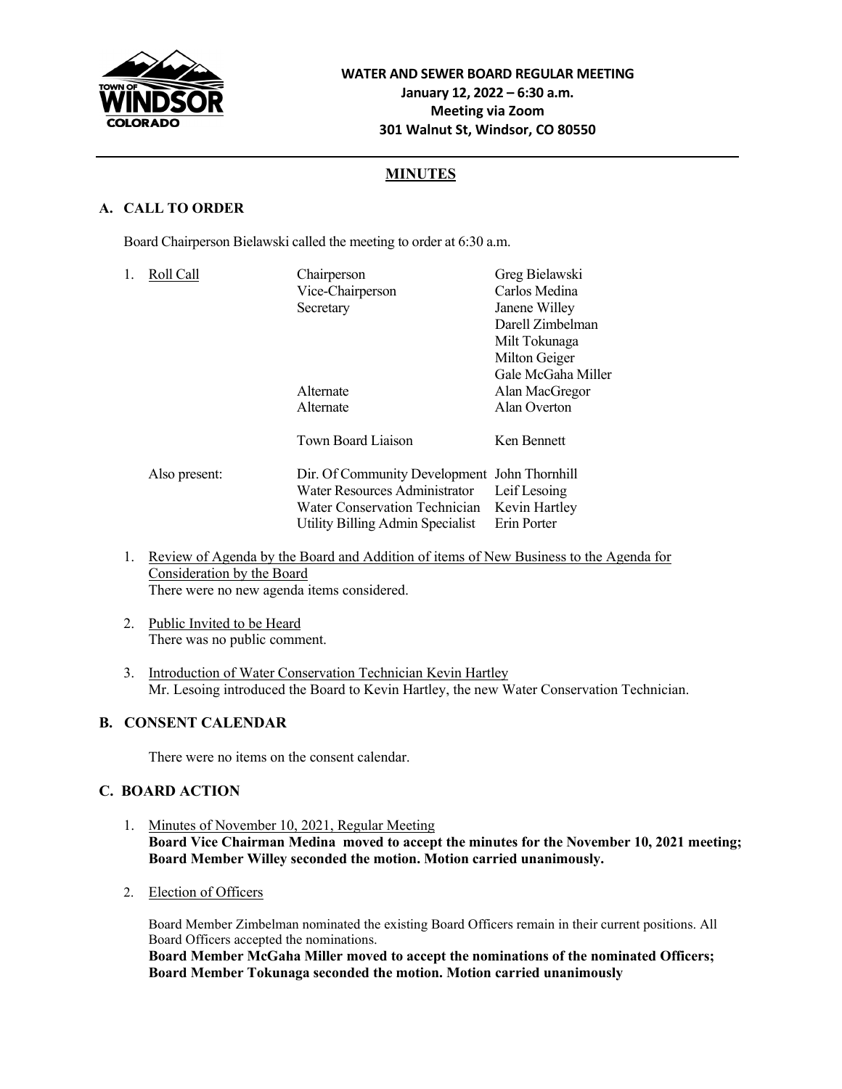

## **MINUTES**

## **A. CALL TO ORDER**

Board Chairperson Bielawski called the meeting to order at 6:30 a.m.

| Roll Call     | Chairperson<br>Vice-Chairperson<br>Secretary                   | Greg Bielawski<br>Carlos Medina<br>Janene Willey<br>Darell Zimbelman<br>Milt Tokunaga<br>Milton Geiger        |
|---------------|----------------------------------------------------------------|---------------------------------------------------------------------------------------------------------------|
|               | Alternate<br>Alternate                                         | Gale McGaha Miller<br>Alan MacGregor<br>Alan Overton                                                          |
| Also present: | Water Resources Administrator<br>Water Conservation Technician | Ken Bennett<br>Leif Lesoing<br>Kevin Hartley<br>Erin Porter                                                   |
|               |                                                                | <b>Town Board Liaison</b><br>Dir. Of Community Development John Thornhill<br>Utility Billing Admin Specialist |

- 1. Review of Agenda by the Board and Addition of items of New Business to the Agenda for Consideration by the Board There were no new agenda items considered.
- 2. Public Invited to be Heard There was no public comment.
- 3. Introduction of Water Conservation Technician Kevin Hartley Mr. Lesoing introduced the Board to Kevin Hartley, the new Water Conservation Technician.

#### **B. CONSENT CALENDAR**

There were no items on the consent calendar.

#### **C. BOARD ACTION**

- 1. Minutes of November 10, 2021, Regular Meeting **Board Vice Chairman Medina moved to accept the minutes for the November 10, 2021 meeting; Board Member Willey seconded the motion. Motion carried unanimously.**
- 2. Election of Officers

Board Member Zimbelman nominated the existing Board Officers remain in their current positions. All Board Officers accepted the nominations.

**Board Member McGaha Miller moved to accept the nominations of the nominated Officers; Board Member Tokunaga seconded the motion. Motion carried unanimously**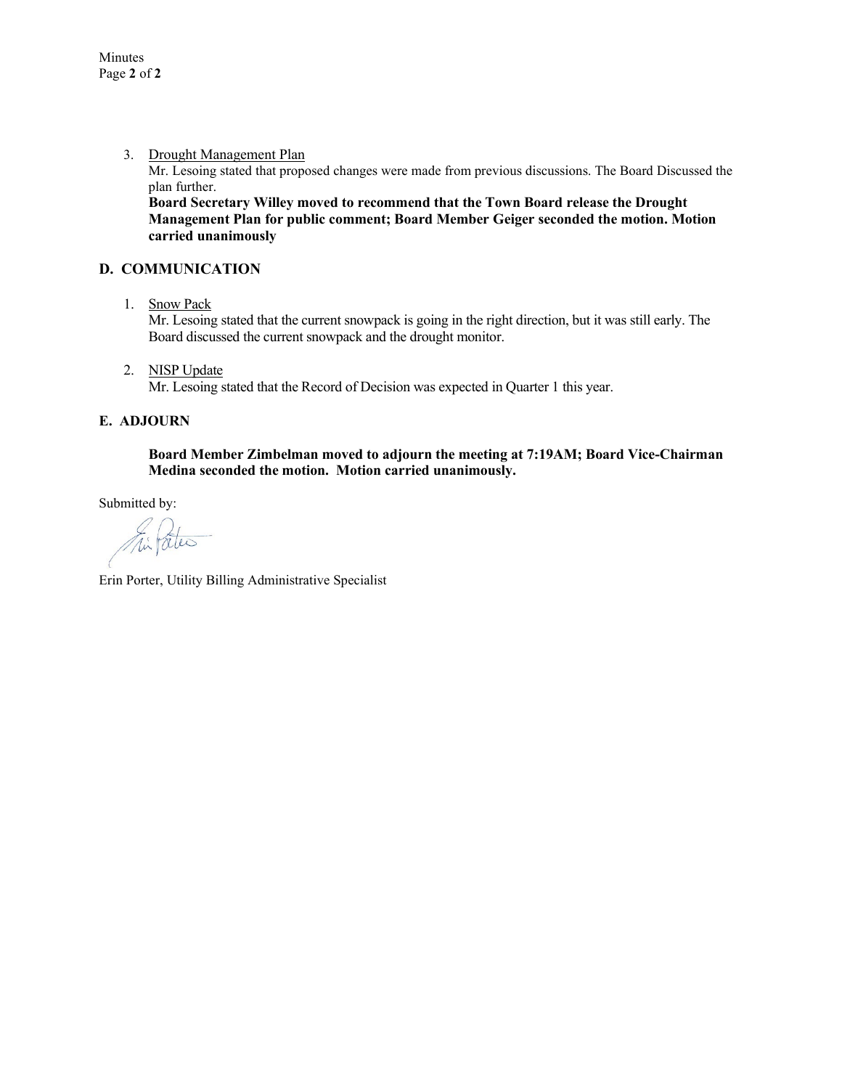3. Drought Management Plan

Mr. Lesoing stated that proposed changes were made from previous discussions. The Board Discussed the plan further.

**Board Secretary Willey moved to recommend that the Town Board release the Drought Management Plan for public comment; Board Member Geiger seconded the motion. Motion carried unanimously**

#### **D. COMMUNICATION**

1. Snow Pack

Mr. Lesoing stated that the current snowpack is going in the right direction, but it was still early. The Board discussed the current snowpack and the drought monitor.

2. NISP Update

Mr. Lesoing stated that the Record of Decision was expected in Quarter 1 this year.

#### **E. ADJOURN**

#### **Board Member Zimbelman moved to adjourn the meeting at 7:19AM; Board Vice-Chairman Medina seconded the motion. Motion carried unanimously.**

Submitted by:

This Pates

Erin Porter, Utility Billing Administrative Specialist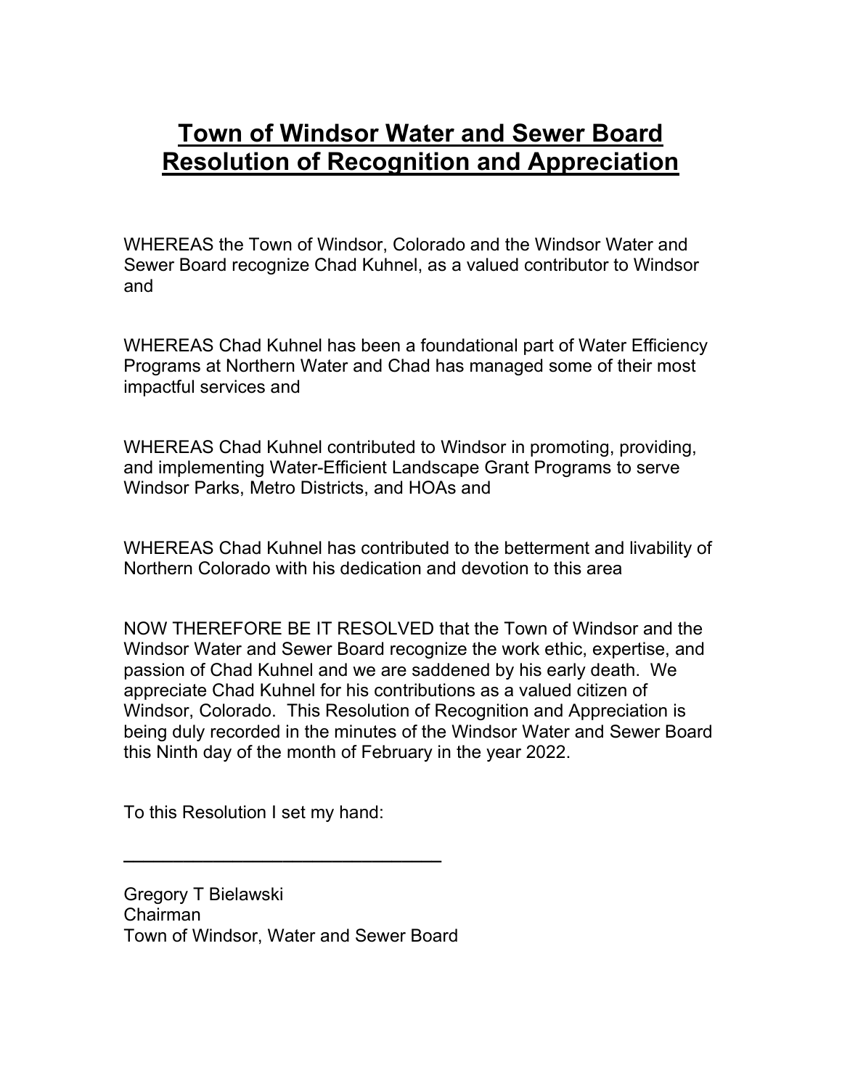# **Town of Windsor Water and Sewer Board Resolution of Recognition and Appreciation**

WHEREAS the Town of Windsor, Colorado and the Windsor Water and Sewer Board recognize Chad Kuhnel, as a valued contributor to Windsor and

WHEREAS Chad Kuhnel has been a foundational part of Water Efficiency Programs at Northern Water and Chad has managed some of their most impactful services and

WHEREAS Chad Kuhnel contributed to Windsor in promoting, providing, and implementing Water-Efficient Landscape Grant Programs to serve Windsor Parks, Metro Districts, and HOAs and

WHEREAS Chad Kuhnel has contributed to the betterment and livability of Northern Colorado with his dedication and devotion to this area

NOW THEREFORE BE IT RESOLVED that the Town of Windsor and the Windsor Water and Sewer Board recognize the work ethic, expertise, and passion of Chad Kuhnel and we are saddened by his early death. We appreciate Chad Kuhnel for his contributions as a valued citizen of Windsor, Colorado. This Resolution of Recognition and Appreciation is being duly recorded in the minutes of the Windsor Water and Sewer Board this Ninth day of the month of February in the year 2022.

To this Resolution I set my hand:

Gregory T Bielawski Chairman Town of Windsor, Water and Sewer Board

**\_\_\_\_\_\_\_\_\_\_\_\_\_\_\_\_\_\_\_\_\_\_\_\_\_\_\_\_\_\_\_\_**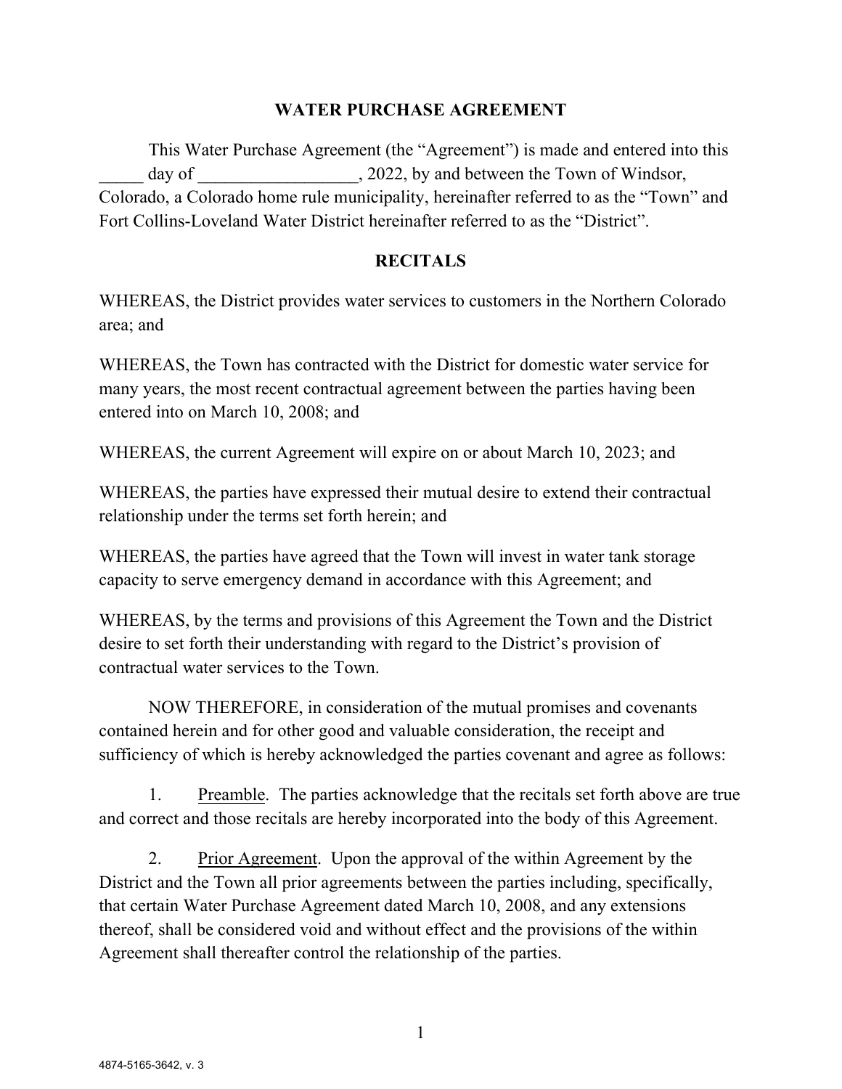## **WATER PURCHASE AGREEMENT**

This Water Purchase Agreement (the "Agreement") is made and entered into this day of  $\qquad \qquad$ , 2022, by and between the Town of Windsor, Colorado, a Colorado home rule municipality, hereinafter referred to as the "Town" and Fort Collins-Loveland Water District hereinafter referred to as the "District".

## **RECITALS**

WHEREAS, the District provides water services to customers in the Northern Colorado area; and

WHEREAS, the Town has contracted with the District for domestic water service for many years, the most recent contractual agreement between the parties having been entered into on March 10, 2008; and

WHEREAS, the current Agreement will expire on or about March 10, 2023; and

WHEREAS, the parties have expressed their mutual desire to extend their contractual relationship under the terms set forth herein; and

WHEREAS, the parties have agreed that the Town will invest in water tank storage capacity to serve emergency demand in accordance with this Agreement; and

WHEREAS, by the terms and provisions of this Agreement the Town and the District desire to set forth their understanding with regard to the District's provision of contractual water services to the Town.

NOW THEREFORE, in consideration of the mutual promises and covenants contained herein and for other good and valuable consideration, the receipt and sufficiency of which is hereby acknowledged the parties covenant and agree as follows:

1. Preamble. The parties acknowledge that the recitals set forth above are true and correct and those recitals are hereby incorporated into the body of this Agreement.

2. Prior Agreement. Upon the approval of the within Agreement by the District and the Town all prior agreements between the parties including, specifically, that certain Water Purchase Agreement dated March 10, 2008, and any extensions thereof, shall be considered void and without effect and the provisions of the within Agreement shall thereafter control the relationship of the parties.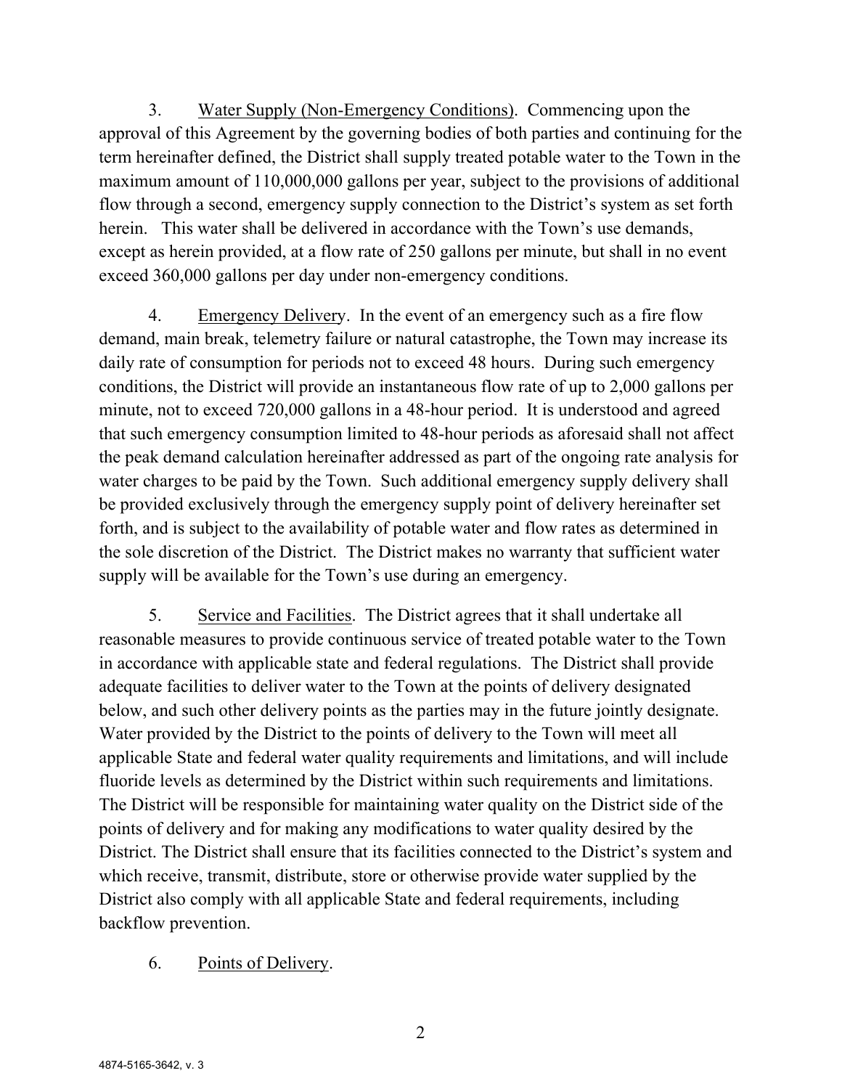3. Water Supply (Non-Emergency Conditions). Commencing upon the approval of this Agreement by the governing bodies of both parties and continuing for the term hereinafter defined, the District shall supply treated potable water to the Town in the maximum amount of 110,000,000 gallons per year, subject to the provisions of additional flow through a second, emergency supply connection to the District's system as set forth herein. This water shall be delivered in accordance with the Town's use demands, except as herein provided, at a flow rate of 250 gallons per minute, but shall in no event exceed 360,000 gallons per day under non-emergency conditions.

4. Emergency Delivery. In the event of an emergency such as a fire flow demand, main break, telemetry failure or natural catastrophe, the Town may increase its daily rate of consumption for periods not to exceed 48 hours. During such emergency conditions, the District will provide an instantaneous flow rate of up to 2,000 gallons per minute, not to exceed 720,000 gallons in a 48-hour period. It is understood and agreed that such emergency consumption limited to 48-hour periods as aforesaid shall not affect the peak demand calculation hereinafter addressed as part of the ongoing rate analysis for water charges to be paid by the Town. Such additional emergency supply delivery shall be provided exclusively through the emergency supply point of delivery hereinafter set forth, and is subject to the availability of potable water and flow rates as determined in the sole discretion of the District. The District makes no warranty that sufficient water supply will be available for the Town's use during an emergency.

5. Service and Facilities. The District agrees that it shall undertake all reasonable measures to provide continuous service of treated potable water to the Town in accordance with applicable state and federal regulations. The District shall provide adequate facilities to deliver water to the Town at the points of delivery designated below, and such other delivery points as the parties may in the future jointly designate. Water provided by the District to the points of delivery to the Town will meet all applicable State and federal water quality requirements and limitations, and will include fluoride levels as determined by the District within such requirements and limitations. The District will be responsible for maintaining water quality on the District side of the points of delivery and for making any modifications to water quality desired by the District. The District shall ensure that its facilities connected to the District's system and which receive, transmit, distribute, store or otherwise provide water supplied by the District also comply with all applicable State and federal requirements, including backflow prevention.

# 6. Points of Delivery.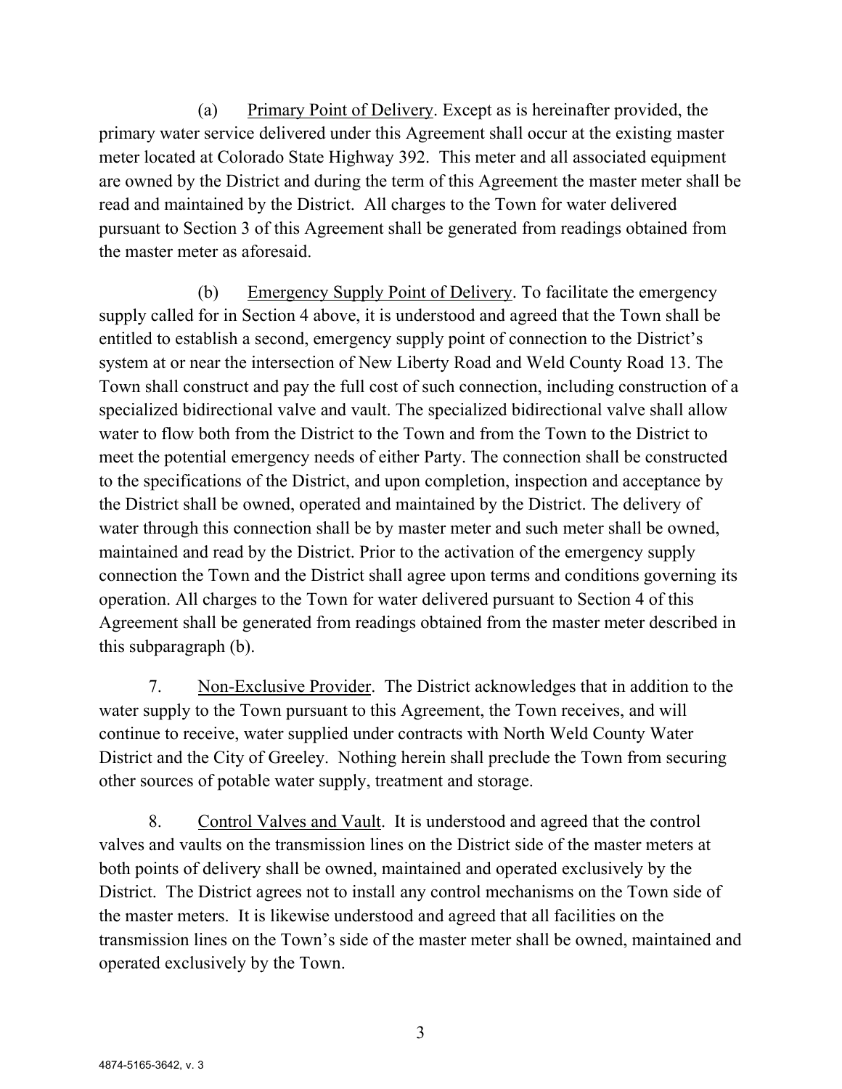(a) Primary Point of Delivery. Except as is hereinafter provided, the primary water service delivered under this Agreement shall occur at the existing master meter located at Colorado State Highway 392. This meter and all associated equipment are owned by the District and during the term of this Agreement the master meter shall be read and maintained by the District. All charges to the Town for water delivered pursuant to Section 3 of this Agreement shall be generated from readings obtained from the master meter as aforesaid.

(b) Emergency Supply Point of Delivery. To facilitate the emergency supply called for in Section 4 above, it is understood and agreed that the Town shall be entitled to establish a second, emergency supply point of connection to the District's system at or near the intersection of New Liberty Road and Weld County Road 13. The Town shall construct and pay the full cost of such connection, including construction of a specialized bidirectional valve and vault. The specialized bidirectional valve shall allow water to flow both from the District to the Town and from the Town to the District to meet the potential emergency needs of either Party. The connection shall be constructed to the specifications of the District, and upon completion, inspection and acceptance by the District shall be owned, operated and maintained by the District. The delivery of water through this connection shall be by master meter and such meter shall be owned, maintained and read by the District. Prior to the activation of the emergency supply connection the Town and the District shall agree upon terms and conditions governing its operation. All charges to the Town for water delivered pursuant to Section 4 of this Agreement shall be generated from readings obtained from the master meter described in this subparagraph (b).

7. Non-Exclusive Provider. The District acknowledges that in addition to the water supply to the Town pursuant to this Agreement, the Town receives, and will continue to receive, water supplied under contracts with North Weld County Water District and the City of Greeley. Nothing herein shall preclude the Town from securing other sources of potable water supply, treatment and storage.

8. Control Valves and Vault. It is understood and agreed that the control valves and vaults on the transmission lines on the District side of the master meters at both points of delivery shall be owned, maintained and operated exclusively by the District. The District agrees not to install any control mechanisms on the Town side of the master meters. It is likewise understood and agreed that all facilities on the transmission lines on the Town's side of the master meter shall be owned, maintained and operated exclusively by the Town.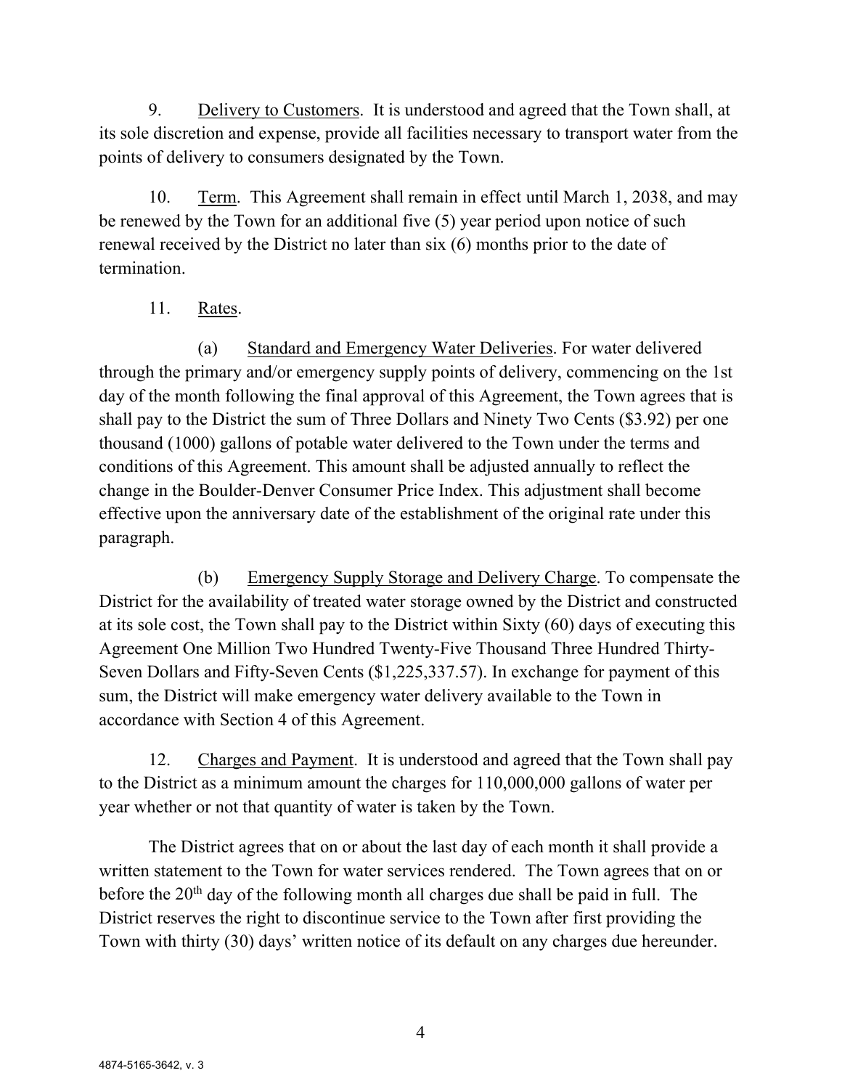9. Delivery to Customers. It is understood and agreed that the Town shall, at its sole discretion and expense, provide all facilities necessary to transport water from the points of delivery to consumers designated by the Town.

10. Term. This Agreement shall remain in effect until March 1, 2038, and may be renewed by the Town for an additional five (5) year period upon notice of such renewal received by the District no later than six (6) months prior to the date of termination.

# 11. Rates.

(a) Standard and Emergency Water Deliveries. For water delivered through the primary and/or emergency supply points of delivery, commencing on the 1st day of the month following the final approval of this Agreement, the Town agrees that is shall pay to the District the sum of Three Dollars and Ninety Two Cents (\$3.92) per one thousand (1000) gallons of potable water delivered to the Town under the terms and conditions of this Agreement. This amount shall be adjusted annually to reflect the change in the Boulder-Denver Consumer Price Index. This adjustment shall become effective upon the anniversary date of the establishment of the original rate under this paragraph.

(b) Emergency Supply Storage and Delivery Charge. To compensate the District for the availability of treated water storage owned by the District and constructed at its sole cost, the Town shall pay to the District within Sixty (60) days of executing this Agreement One Million Two Hundred Twenty-Five Thousand Three Hundred Thirty-Seven Dollars and Fifty-Seven Cents (\$1,225,337.57). In exchange for payment of this sum, the District will make emergency water delivery available to the Town in accordance with Section 4 of this Agreement.

12. Charges and Payment. It is understood and agreed that the Town shall pay to the District as a minimum amount the charges for 110,000,000 gallons of water per year whether or not that quantity of water is taken by the Town.

The District agrees that on or about the last day of each month it shall provide a written statement to the Town for water services rendered. The Town agrees that on or before the  $20<sup>th</sup>$  day of the following month all charges due shall be paid in full. The District reserves the right to discontinue service to the Town after first providing the Town with thirty (30) days' written notice of its default on any charges due hereunder.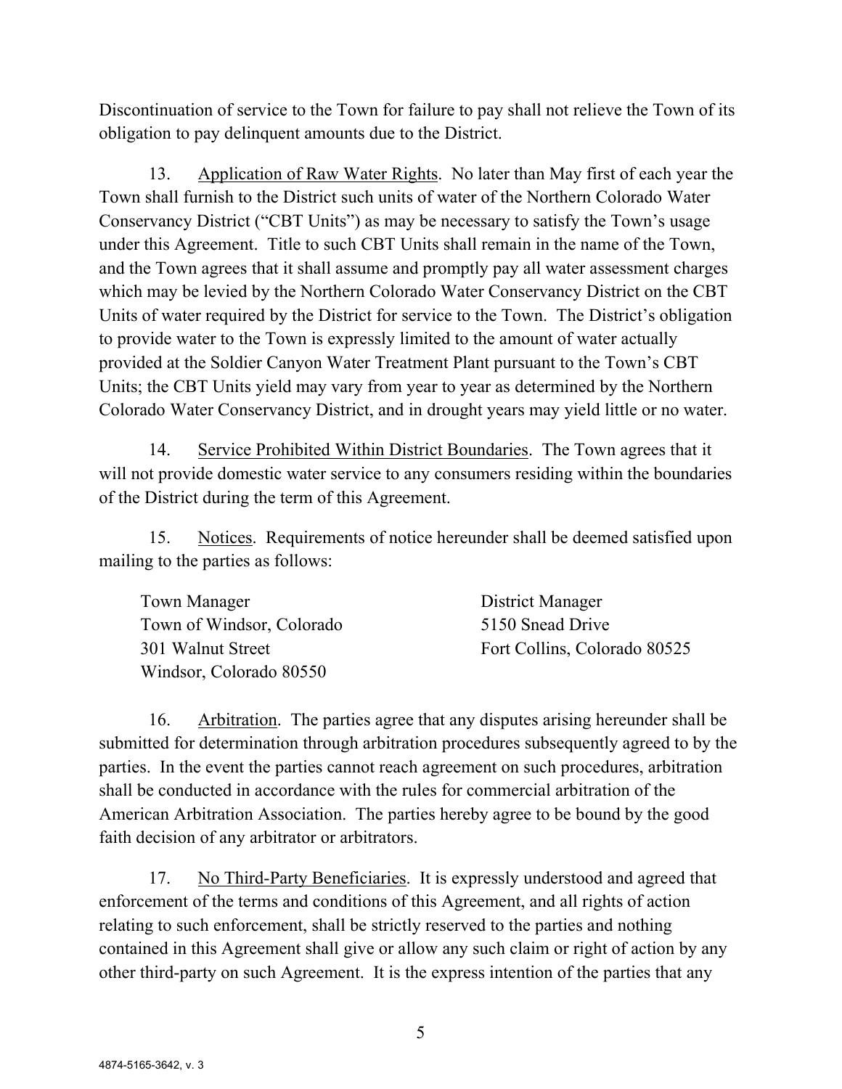Discontinuation of service to the Town for failure to pay shall not relieve the Town of its obligation to pay delinquent amounts due to the District.

13. Application of Raw Water Rights. No later than May first of each year the Town shall furnish to the District such units of water of the Northern Colorado Water Conservancy District ("CBT Units") as may be necessary to satisfy the Town's usage under this Agreement. Title to such CBT Units shall remain in the name of the Town, and the Town agrees that it shall assume and promptly pay all water assessment charges which may be levied by the Northern Colorado Water Conservancy District on the CBT Units of water required by the District for service to the Town. The District's obligation to provide water to the Town is expressly limited to the amount of water actually provided at the Soldier Canyon Water Treatment Plant pursuant to the Town's CBT Units; the CBT Units yield may vary from year to year as determined by the Northern Colorado Water Conservancy District, and in drought years may yield little or no water.

14. Service Prohibited Within District Boundaries. The Town agrees that it will not provide domestic water service to any consumers residing within the boundaries of the District during the term of this Agreement.

15. Notices. Requirements of notice hereunder shall be deemed satisfied upon mailing to the parties as follows:

| Town Manager              | District Manager             |
|---------------------------|------------------------------|
| Town of Windsor, Colorado | 5150 Snead Drive             |
| 301 Walnut Street         | Fort Collins, Colorado 80525 |
| Windsor, Colorado 80550   |                              |

16. Arbitration. The parties agree that any disputes arising hereunder shall be submitted for determination through arbitration procedures subsequently agreed to by the parties. In the event the parties cannot reach agreement on such procedures, arbitration shall be conducted in accordance with the rules for commercial arbitration of the American Arbitration Association. The parties hereby agree to be bound by the good faith decision of any arbitrator or arbitrators.

17. No Third-Party Beneficiaries. It is expressly understood and agreed that enforcement of the terms and conditions of this Agreement, and all rights of action relating to such enforcement, shall be strictly reserved to the parties and nothing contained in this Agreement shall give or allow any such claim or right of action by any other third-party on such Agreement. It is the express intention of the parties that any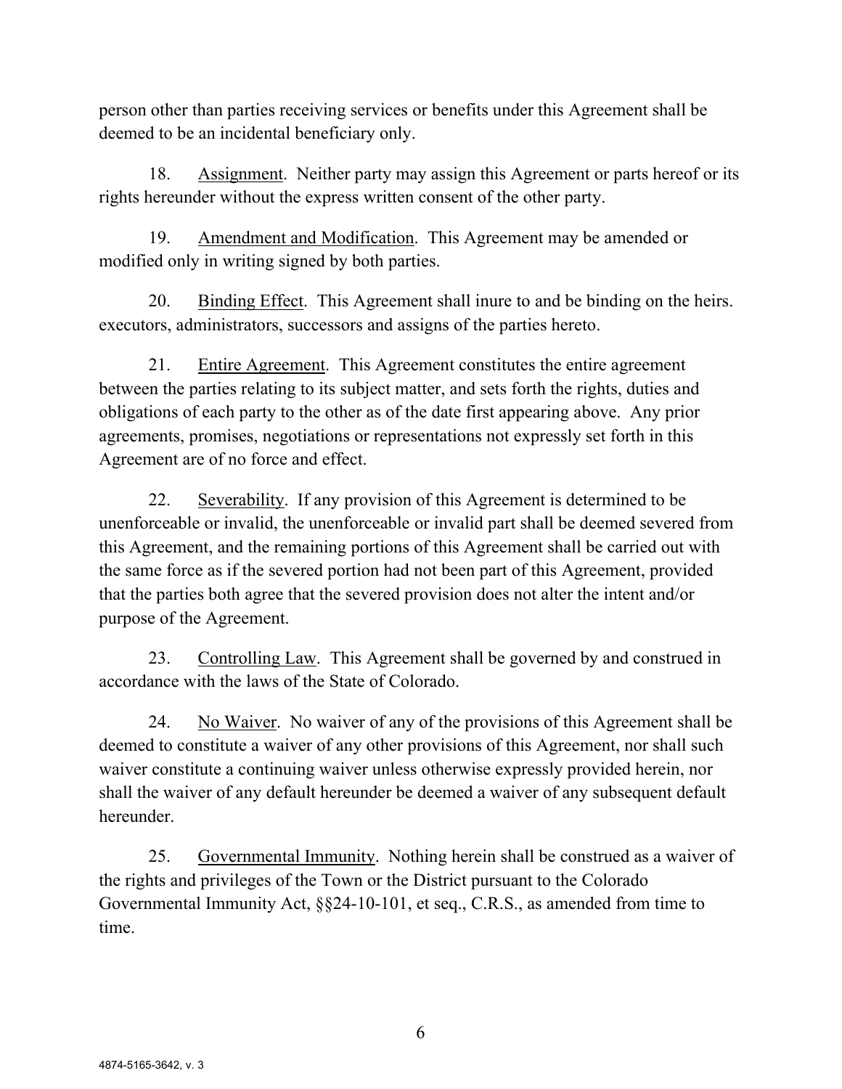person other than parties receiving services or benefits under this Agreement shall be deemed to be an incidental beneficiary only.

18. Assignment. Neither party may assign this Agreement or parts hereof or its rights hereunder without the express written consent of the other party.

19. Amendment and Modification. This Agreement may be amended or modified only in writing signed by both parties.

20. Binding Effect. This Agreement shall inure to and be binding on the heirs. executors, administrators, successors and assigns of the parties hereto.

21. Entire Agreement. This Agreement constitutes the entire agreement between the parties relating to its subject matter, and sets forth the rights, duties and obligations of each party to the other as of the date first appearing above. Any prior agreements, promises, negotiations or representations not expressly set forth in this Agreement are of no force and effect.

22. Severability. If any provision of this Agreement is determined to be unenforceable or invalid, the unenforceable or invalid part shall be deemed severed from this Agreement, and the remaining portions of this Agreement shall be carried out with the same force as if the severed portion had not been part of this Agreement, provided that the parties both agree that the severed provision does not alter the intent and/or purpose of the Agreement.

23. Controlling Law. This Agreement shall be governed by and construed in accordance with the laws of the State of Colorado.

24. No Waiver. No waiver of any of the provisions of this Agreement shall be deemed to constitute a waiver of any other provisions of this Agreement, nor shall such waiver constitute a continuing waiver unless otherwise expressly provided herein, nor shall the waiver of any default hereunder be deemed a waiver of any subsequent default hereunder.

25. Governmental Immunity. Nothing herein shall be construed as a waiver of the rights and privileges of the Town or the District pursuant to the Colorado Governmental Immunity Act, §§24-10-101, et seq., C.R.S., as amended from time to time.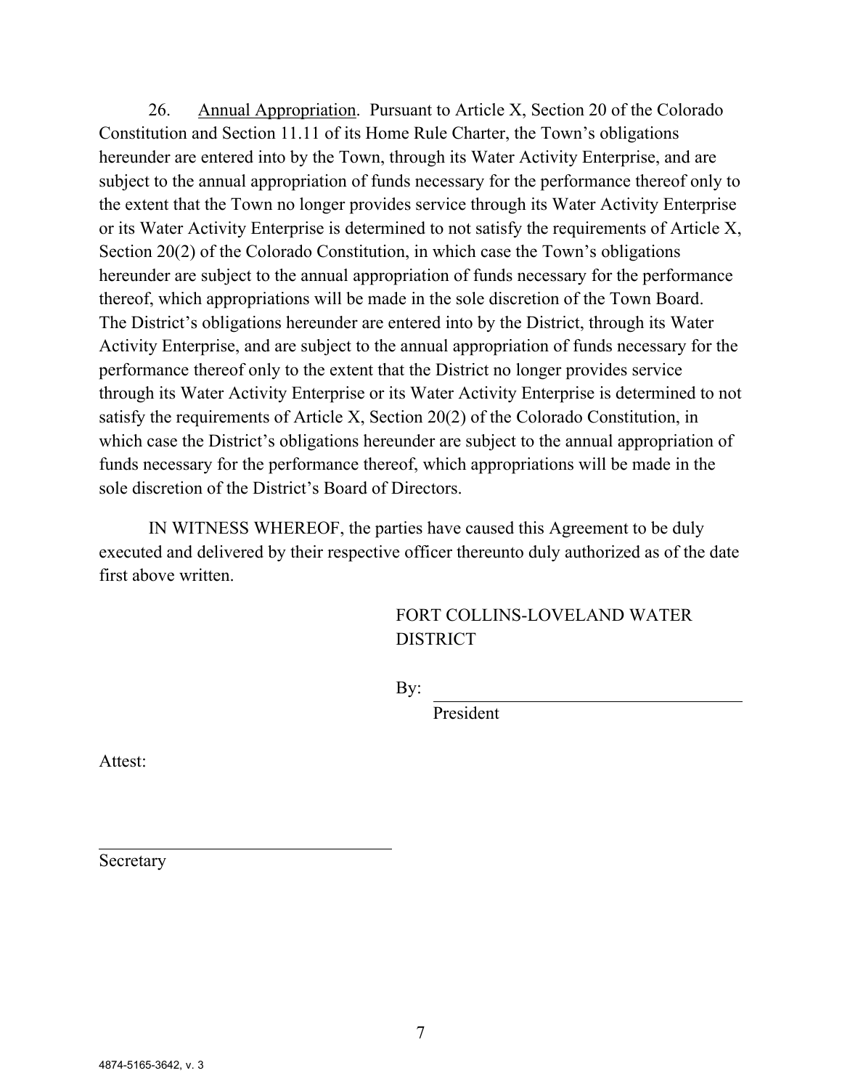26. Annual Appropriation. Pursuant to Article X, Section 20 of the Colorado Constitution and Section 11.11 of its Home Rule Charter, the Town's obligations hereunder are entered into by the Town, through its Water Activity Enterprise, and are subject to the annual appropriation of funds necessary for the performance thereof only to the extent that the Town no longer provides service through its Water Activity Enterprise or its Water Activity Enterprise is determined to not satisfy the requirements of Article X, Section 20(2) of the Colorado Constitution, in which case the Town's obligations hereunder are subject to the annual appropriation of funds necessary for the performance thereof, which appropriations will be made in the sole discretion of the Town Board. The District's obligations hereunder are entered into by the District, through its Water Activity Enterprise, and are subject to the annual appropriation of funds necessary for the performance thereof only to the extent that the District no longer provides service through its Water Activity Enterprise or its Water Activity Enterprise is determined to not satisfy the requirements of Article X, Section 20(2) of the Colorado Constitution, in which case the District's obligations hereunder are subject to the annual appropriation of funds necessary for the performance thereof, which appropriations will be made in the sole discretion of the District's Board of Directors.

IN WITNESS WHEREOF, the parties have caused this Agreement to be duly executed and delivered by their respective officer thereunto duly authorized as of the date first above written.

> FORT COLLINS-LOVELAND WATER **DISTRICT**

By:

President

Attest:

Secretary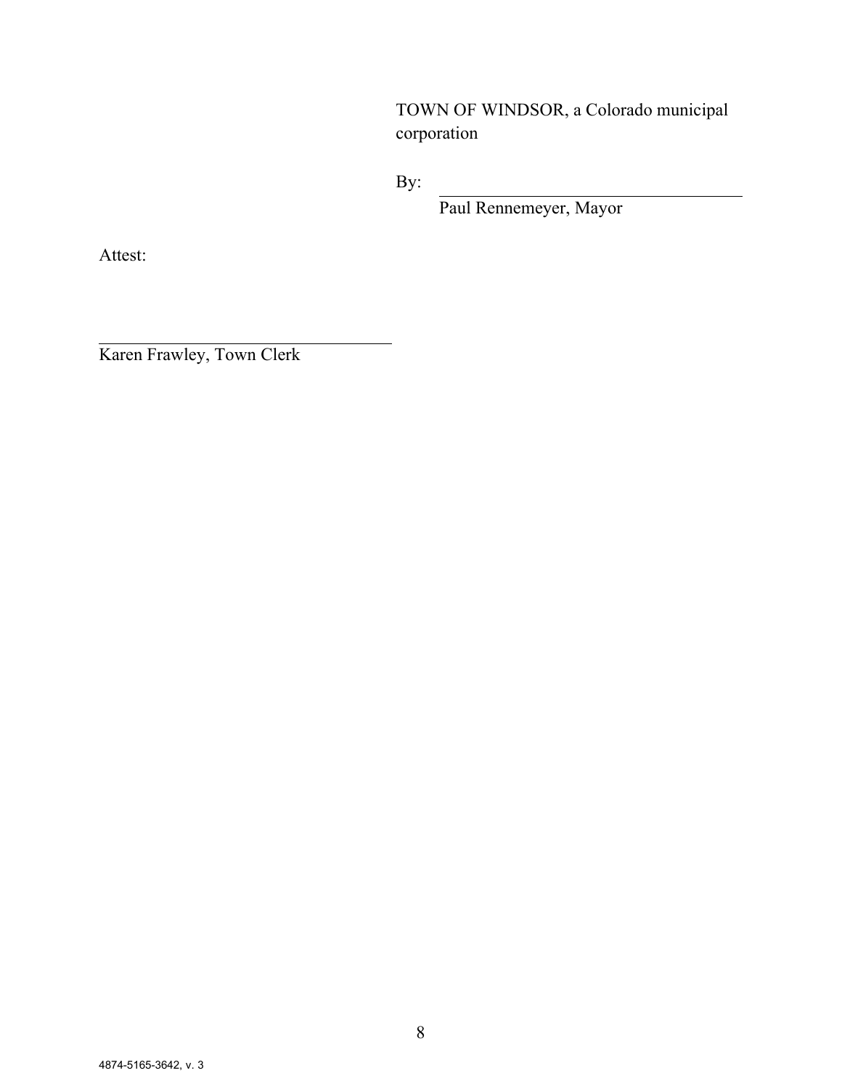TOWN OF WINDSOR, a Colorado municipal corporation

By:

Paul Rennemeyer, Mayor

Attest:

Karen Frawley, Town Clerk